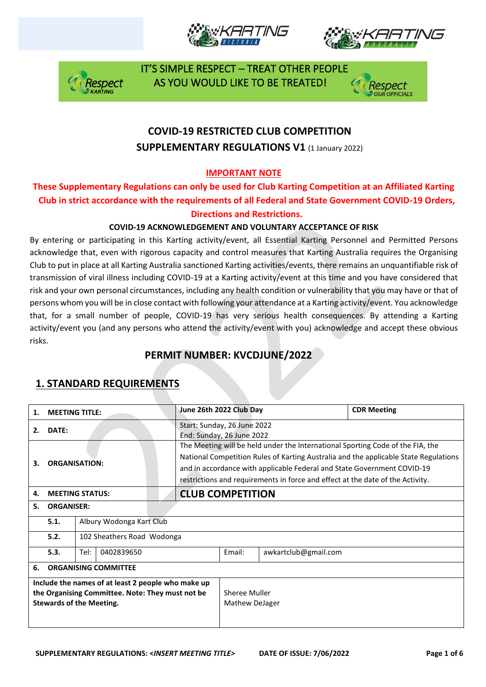







## **COVID-19 RESTRICTED CLUB COMPETITION SUPPLEMENTARY REGULATIONS V1 (1 January 2022)**

#### **IMPORTANT NOTE**

#### **These Supplementary Regulations can only be used for Club Karting Competition at an Affiliated Karting Club in strict accordance with the requirements of all Federal and State Government COVID-19 Orders, Directions and Restrictions.**

#### **COVID-19 ACKNOWLEDGEMENT AND VOLUNTARY ACCEPTANCE OF RISK**

By entering or participating in this Karting activity/event, all Essential Karting Personnel and Permitted Persons acknowledge that, even with rigorous capacity and control measures that Karting Australia requires the Organising Club to put in place at all Karting Australia sanctioned Karting activities/events, there remains an unquantifiable risk of transmission of viral illness including COVID-19 at a Karting activity/event at this time and you have considered that risk and your own personal circumstances, including any health condition or vulnerability that you may have or that of persons whom you will be in close contact with following your attendance at a Karting activity/event. You acknowledge that, for a small number of people, COVID-19 has very serious health consequences. By attending a Karting activity/event you (and any persons who attend the activity/event with you) acknowledge and accept these obvious risks.

## **PERMIT NUMBER: KVCDJUNE/2022**

| 1.                                                                                                                                        | <b>MEETING TITLE:</b>       |                            |  | June 26th 2022 Club Day |                                                                                                                                                                                                                                                                                                                                     |                      | <b>CDR Meeting</b> |  |  |
|-------------------------------------------------------------------------------------------------------------------------------------------|-----------------------------|----------------------------|--|-------------------------|-------------------------------------------------------------------------------------------------------------------------------------------------------------------------------------------------------------------------------------------------------------------------------------------------------------------------------------|----------------------|--------------------|--|--|
| DATE:<br>2.                                                                                                                               |                             |                            |  |                         | Start: Sunday, 26 June 2022<br>End: Sunday, 26 June 2022                                                                                                                                                                                                                                                                            |                      |                    |  |  |
| <b>ORGANISATION:</b><br>3.                                                                                                                |                             |                            |  |                         | The Meeting will be held under the International Sporting Code of the FIA, the<br>National Competition Rules of Karting Australia and the applicable State Regulations<br>and in accordance with applicable Federal and State Government COVID-19<br>restrictions and requirements in force and effect at the date of the Activity. |                      |                    |  |  |
| 4.                                                                                                                                        | <b>MEETING STATUS:</b>      |                            |  | <b>CLUB COMPETITION</b> |                                                                                                                                                                                                                                                                                                                                     |                      |                    |  |  |
| 5.                                                                                                                                        |                             | <b>ORGANISER:</b>          |  |                         |                                                                                                                                                                                                                                                                                                                                     |                      |                    |  |  |
|                                                                                                                                           | 5.1.                        | Albury Wodonga Kart Club   |  |                         |                                                                                                                                                                                                                                                                                                                                     |                      |                    |  |  |
|                                                                                                                                           | 5.2.                        | 102 Sheathers Road Wodonga |  |                         |                                                                                                                                                                                                                                                                                                                                     |                      |                    |  |  |
|                                                                                                                                           | 5.3.                        | Tel:<br>0402839650         |  |                         | Email:                                                                                                                                                                                                                                                                                                                              | awkartclub@gmail.com |                    |  |  |
| 6.                                                                                                                                        | <b>ORGANISING COMMITTEE</b> |                            |  |                         |                                                                                                                                                                                                                                                                                                                                     |                      |                    |  |  |
| Include the names of at least 2 people who make up<br>the Organising Committee. Note: They must not be<br><b>Stewards of the Meeting.</b> |                             |                            |  |                         | Sheree Muller<br>Mathew DeJager                                                                                                                                                                                                                                                                                                     |                      |                    |  |  |

## **1. STANDARD REQUIREMENTS**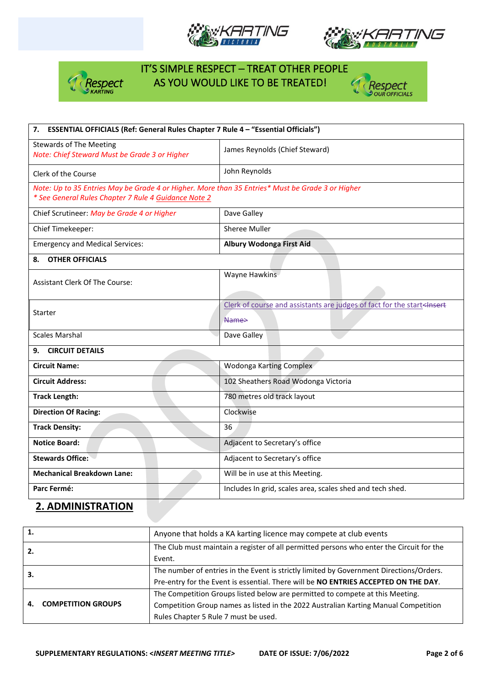







| 7. ESSENTIAL OFFICIALS (Ref: General Rules Chapter 7 Rule 4 - "Essential Officials")                                                                     |                                                                                                 |  |  |  |  |
|----------------------------------------------------------------------------------------------------------------------------------------------------------|-------------------------------------------------------------------------------------------------|--|--|--|--|
| <b>Stewards of The Meeting</b><br>Note: Chief Steward Must be Grade 3 or Higher                                                                          | James Reynolds (Chief Steward)                                                                  |  |  |  |  |
| Clerk of the Course                                                                                                                                      | John Reynolds                                                                                   |  |  |  |  |
| Note: Up to 35 Entries May be Grade 4 or Higher. More than 35 Entries* Must be Grade 3 or Higher<br>* See General Rules Chapter 7 Rule 4 Guidance Note 2 |                                                                                                 |  |  |  |  |
| Chief Scrutineer: May be Grade 4 or Higher                                                                                                               | Dave Galley                                                                                     |  |  |  |  |
| Chief Timekeeper:                                                                                                                                        | <b>Sheree Muller</b>                                                                            |  |  |  |  |
| <b>Emergency and Medical Services:</b>                                                                                                                   | Albury Wodonga First Aid                                                                        |  |  |  |  |
| <b>OTHER OFFICIALS</b><br>8.                                                                                                                             |                                                                                                 |  |  |  |  |
| Assistant Clerk Of The Course:                                                                                                                           | Wayne Hawkins                                                                                   |  |  |  |  |
| Starter                                                                                                                                                  | Clerk of course and assistants are judges of fact for the start <insert<br>Name&gt;</insert<br> |  |  |  |  |
| <b>Scales Marshal</b>                                                                                                                                    | Dave Galley                                                                                     |  |  |  |  |
| 9. CIRCUIT DETAILS                                                                                                                                       |                                                                                                 |  |  |  |  |
| <b>Circuit Name:</b>                                                                                                                                     | Wodonga Karting Complex                                                                         |  |  |  |  |
| <b>Circuit Address:</b>                                                                                                                                  | 102 Sheathers Road Wodonga Victoria                                                             |  |  |  |  |
| <b>Track Length:</b>                                                                                                                                     | 780 metres old track layout                                                                     |  |  |  |  |
| <b>Direction Of Racing:</b>                                                                                                                              | Clockwise                                                                                       |  |  |  |  |
| <b>Track Density:</b>                                                                                                                                    | 36                                                                                              |  |  |  |  |
| <b>Notice Board:</b>                                                                                                                                     | Adjacent to Secretary's office                                                                  |  |  |  |  |
| <b>Stewards Office:</b>                                                                                                                                  | Adjacent to Secretary's office                                                                  |  |  |  |  |
| <b>Mechanical Breakdown Lane:</b>                                                                                                                        | Will be in use at this Meeting.                                                                 |  |  |  |  |
| Parc Fermé:                                                                                                                                              | Includes In grid, scales area, scales shed and tech shed.                                       |  |  |  |  |

# **2. ADMINISTRATION**

| 1.                        | Anyone that holds a KA karting licence may compete at club events                        |  |  |  |
|---------------------------|------------------------------------------------------------------------------------------|--|--|--|
| 2.                        | The Club must maintain a register of all permitted persons who enter the Circuit for the |  |  |  |
|                           | Event.                                                                                   |  |  |  |
| З.                        | The number of entries in the Event is strictly limited by Government Directions/Orders.  |  |  |  |
|                           | Pre-entry for the Event is essential. There will be NO ENTRIES ACCEPTED ON THE DAY.      |  |  |  |
|                           | The Competition Groups listed below are permitted to compete at this Meeting.            |  |  |  |
| <b>COMPETITION GROUPS</b> | Competition Group names as listed in the 2022 Australian Karting Manual Competition      |  |  |  |
|                           | Rules Chapter 5 Rule 7 must be used.                                                     |  |  |  |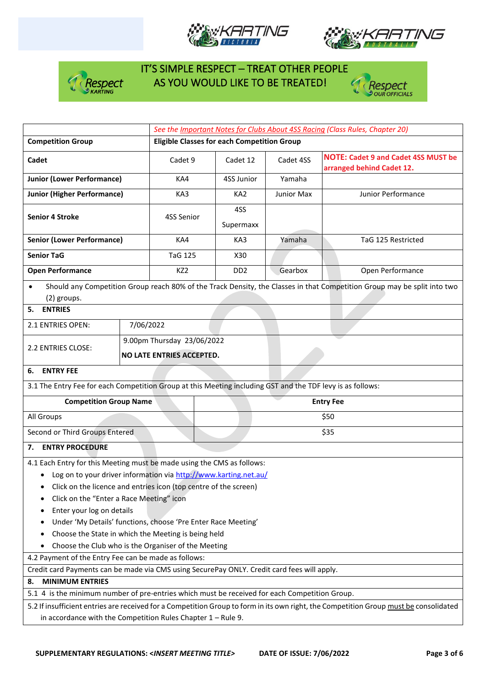







|                                                                                                                                                                                                                                                                                                                                                                                                                                                                                                                                                                                                                                 |           | See the Important Notes for Clubs About 4SS Racing (Class Rules, Chapter 20) |                             |                   |                                                                                                                                       |  |  |
|---------------------------------------------------------------------------------------------------------------------------------------------------------------------------------------------------------------------------------------------------------------------------------------------------------------------------------------------------------------------------------------------------------------------------------------------------------------------------------------------------------------------------------------------------------------------------------------------------------------------------------|-----------|------------------------------------------------------------------------------|-----------------------------|-------------------|---------------------------------------------------------------------------------------------------------------------------------------|--|--|
| <b>Competition Group</b>                                                                                                                                                                                                                                                                                                                                                                                                                                                                                                                                                                                                        |           | <b>Eligible Classes for each Competition Group</b>                           |                             |                   |                                                                                                                                       |  |  |
| Cadet                                                                                                                                                                                                                                                                                                                                                                                                                                                                                                                                                                                                                           |           | Cadet 9                                                                      | Cadet 12                    | Cadet 4SS         | <b>NOTE: Cadet 9 and Cadet 4SS MUST be</b><br>arranged behind Cadet 12.                                                               |  |  |
| <b>Junior (Lower Performance)</b>                                                                                                                                                                                                                                                                                                                                                                                                                                                                                                                                                                                               |           | KA4                                                                          | 4SS Junior                  | Yamaha            |                                                                                                                                       |  |  |
| <b>Junior (Higher Performance)</b>                                                                                                                                                                                                                                                                                                                                                                                                                                                                                                                                                                                              |           | KA3                                                                          | KA <sub>2</sub>             | <b>Junior Max</b> | Junior Performance                                                                                                                    |  |  |
| <b>Senior 4 Stroke</b>                                                                                                                                                                                                                                                                                                                                                                                                                                                                                                                                                                                                          |           | 4SS Senior                                                                   | 4SS<br>Supermaxx            |                   |                                                                                                                                       |  |  |
| <b>Senior (Lower Performance)</b>                                                                                                                                                                                                                                                                                                                                                                                                                                                                                                                                                                                               |           | KA4                                                                          | KA3                         | Yamaha            | TaG 125 Restricted                                                                                                                    |  |  |
| <b>Senior TaG</b>                                                                                                                                                                                                                                                                                                                                                                                                                                                                                                                                                                                                               |           | <b>TaG 125</b>                                                               | X30                         |                   |                                                                                                                                       |  |  |
| <b>Open Performance</b>                                                                                                                                                                                                                                                                                                                                                                                                                                                                                                                                                                                                         |           | KZ <sub>2</sub>                                                              | D <sub>D</sub> <sub>2</sub> | Gearbox           | Open Performance                                                                                                                      |  |  |
| $\bullet$<br>(2) groups.                                                                                                                                                                                                                                                                                                                                                                                                                                                                                                                                                                                                        |           |                                                                              |                             |                   | Should any Competition Group reach 80% of the Track Density, the Classes in that Competition Group may be split into two              |  |  |
| <b>ENTRIES</b><br>5.                                                                                                                                                                                                                                                                                                                                                                                                                                                                                                                                                                                                            |           |                                                                              |                             |                   |                                                                                                                                       |  |  |
| 2.1 ENTRIES OPEN:                                                                                                                                                                                                                                                                                                                                                                                                                                                                                                                                                                                                               | 7/06/2022 |                                                                              |                             |                   |                                                                                                                                       |  |  |
| 2.2 ENTRIES CLOSE:                                                                                                                                                                                                                                                                                                                                                                                                                                                                                                                                                                                                              |           | 9.00pm Thursday 23/06/2022<br>NO LATE ENTRIES ACCEPTED.                      |                             |                   |                                                                                                                                       |  |  |
| 6. ENTRY FEE                                                                                                                                                                                                                                                                                                                                                                                                                                                                                                                                                                                                                    |           |                                                                              |                             |                   |                                                                                                                                       |  |  |
| 3.1 The Entry Fee for each Competition Group at this Meeting including GST and the TDF levy is as follows:                                                                                                                                                                                                                                                                                                                                                                                                                                                                                                                      |           |                                                                              |                             |                   |                                                                                                                                       |  |  |
| <b>Competition Group Name</b>                                                                                                                                                                                                                                                                                                                                                                                                                                                                                                                                                                                                   |           |                                                                              |                             |                   | <b>Entry Fee</b>                                                                                                                      |  |  |
| All Groups                                                                                                                                                                                                                                                                                                                                                                                                                                                                                                                                                                                                                      |           |                                                                              |                             |                   | \$50                                                                                                                                  |  |  |
| Second or Third Groups Entered                                                                                                                                                                                                                                                                                                                                                                                                                                                                                                                                                                                                  |           |                                                                              |                             |                   | \$35                                                                                                                                  |  |  |
| <b>ENTRY PROCEDURE</b><br>7.                                                                                                                                                                                                                                                                                                                                                                                                                                                                                                                                                                                                    |           |                                                                              |                             |                   |                                                                                                                                       |  |  |
| 4.1 Each Entry for this Meeting must be made using the CMS as follows:<br>Log on to your driver information via http://www.karting.net.au/<br>• Click on the licence and entries icon (top centre of the screen)<br>Click on the "Enter a Race Meeting" icon<br>Enter your log on details<br>Under 'My Details' functions, choose 'Pre Enter Race Meeting'<br>Choose the State in which the Meeting is being held<br>Choose the Club who is the Organiser of the Meeting<br>4.2 Payment of the Entry Fee can be made as follows:<br>Credit card Payments can be made via CMS using SecurePay ONLY. Credit card fees will apply. |           |                                                                              |                             |                   |                                                                                                                                       |  |  |
| <b>MINIMUM ENTRIES</b><br>8.<br>5.1 4 is the minimum number of pre-entries which must be received for each Competition Group.                                                                                                                                                                                                                                                                                                                                                                                                                                                                                                   |           |                                                                              |                             |                   |                                                                                                                                       |  |  |
|                                                                                                                                                                                                                                                                                                                                                                                                                                                                                                                                                                                                                                 |           |                                                                              |                             |                   | 5.2 If insufficient entries are received for a Competition Group to form in its own right, the Competition Group must be consolidated |  |  |
| in accordance with the Competition Rules Chapter $1 -$ Rule 9.                                                                                                                                                                                                                                                                                                                                                                                                                                                                                                                                                                  |           |                                                                              |                             |                   |                                                                                                                                       |  |  |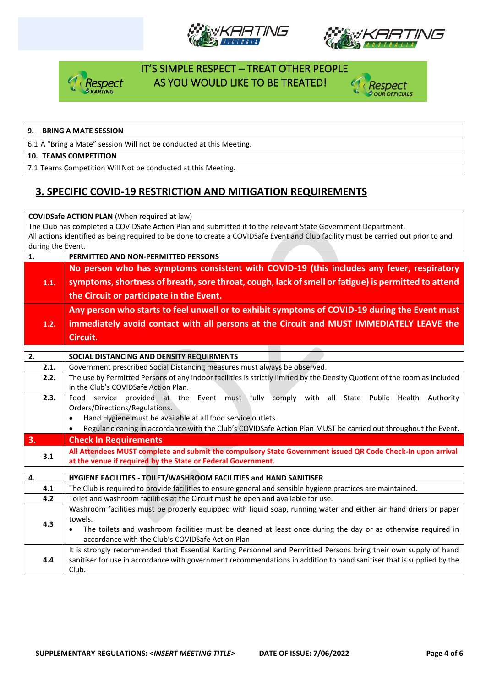







#### **9. BRING A MATE SESSION**

6.1 A "Bring a Mate" session Will not be conducted at this Meeting.

#### **10. TEAMS COMPETITION**

7.1 Teams Competition Will Not be conducted at this Meeting.

#### **3. SPECIFIC COVID-19 RESTRICTION AND MITIGATION REQUIREMENTS**

| <b>COVIDSafe ACTION PLAN (When required at law)</b>                                                          |                                                                                                                                                                                   |  |  |  |  |  |  |  |  |
|--------------------------------------------------------------------------------------------------------------|-----------------------------------------------------------------------------------------------------------------------------------------------------------------------------------|--|--|--|--|--|--|--|--|
| The Club has completed a COVIDSafe Action Plan and submitted it to the relevant State Government Department. |                                                                                                                                                                                   |  |  |  |  |  |  |  |  |
|                                                                                                              | All actions identified as being required to be done to create a COVIDSafe Event and Club facility must be carried out prior to and                                                |  |  |  |  |  |  |  |  |
|                                                                                                              | during the Event.                                                                                                                                                                 |  |  |  |  |  |  |  |  |
| 1.                                                                                                           | PERMITTED AND NON-PERMITTED PERSONS                                                                                                                                               |  |  |  |  |  |  |  |  |
|                                                                                                              | No person who has symptoms consistent with COVID-19 (this includes any fever, respiratory                                                                                         |  |  |  |  |  |  |  |  |
| 1.1.                                                                                                         | symptoms, shortness of breath, sore throat, cough, lack of smell or fatigue) is permitted to attend                                                                               |  |  |  |  |  |  |  |  |
|                                                                                                              | the Circuit or participate in the Event.                                                                                                                                          |  |  |  |  |  |  |  |  |
|                                                                                                              | Any person who starts to feel unwell or to exhibit symptoms of COVID-19 during the Event must                                                                                     |  |  |  |  |  |  |  |  |
| 1.2.                                                                                                         | immediately avoid contact with all persons at the Circuit and MUST IMMEDIATELY LEAVE the                                                                                          |  |  |  |  |  |  |  |  |
|                                                                                                              | Circuit.                                                                                                                                                                          |  |  |  |  |  |  |  |  |
|                                                                                                              |                                                                                                                                                                                   |  |  |  |  |  |  |  |  |
| 2.                                                                                                           | SOCIAL DISTANCING AND DENSITY REQUIRMENTS                                                                                                                                         |  |  |  |  |  |  |  |  |
| 2.1.                                                                                                         | Government prescribed Social Distancing measures must always be observed.                                                                                                         |  |  |  |  |  |  |  |  |
| 2.2.                                                                                                         | The use by Permitted Persons of any indoor facilities is strictly limited by the Density Quotient of the room as included                                                         |  |  |  |  |  |  |  |  |
|                                                                                                              | in the Club's COVIDSafe Action Plan.                                                                                                                                              |  |  |  |  |  |  |  |  |
| 2.3.                                                                                                         | Food service provided at the Event must fully comply with all State Public Health<br>Authority                                                                                    |  |  |  |  |  |  |  |  |
|                                                                                                              | Orders/Directions/Regulations.                                                                                                                                                    |  |  |  |  |  |  |  |  |
|                                                                                                              | Hand Hygiene must be available at all food service outlets.                                                                                                                       |  |  |  |  |  |  |  |  |
|                                                                                                              | Regular cleaning in accordance with the Club's COVIDSafe Action Plan MUST be carried out throughout the Event.                                                                    |  |  |  |  |  |  |  |  |
| 3.                                                                                                           | <b>Check In Requirements</b>                                                                                                                                                      |  |  |  |  |  |  |  |  |
| 3.1                                                                                                          | All Attendees MUST complete and submit the compulsory State Government issued QR Code Check-In upon arrival                                                                       |  |  |  |  |  |  |  |  |
|                                                                                                              | at the venue if required by the State or Federal Government.                                                                                                                      |  |  |  |  |  |  |  |  |
| 4.                                                                                                           |                                                                                                                                                                                   |  |  |  |  |  |  |  |  |
| 4.1                                                                                                          | HYGIENE FACILITIES - TOILET/WASHROOM FACILITIES and HAND SANITISER<br>The Club is required to provide facilities to ensure general and sensible hygiene practices are maintained. |  |  |  |  |  |  |  |  |
| 4.2                                                                                                          | Toilet and washroom facilities at the Circuit must be open and available for use.                                                                                                 |  |  |  |  |  |  |  |  |
|                                                                                                              | Washroom facilities must be properly equipped with liquid soap, running water and either air hand driers or paper                                                                 |  |  |  |  |  |  |  |  |
|                                                                                                              | towels.                                                                                                                                                                           |  |  |  |  |  |  |  |  |
| 4.3                                                                                                          | The toilets and washroom facilities must be cleaned at least once during the day or as otherwise required in                                                                      |  |  |  |  |  |  |  |  |
|                                                                                                              | accordance with the Club's COVIDSafe Action Plan                                                                                                                                  |  |  |  |  |  |  |  |  |
|                                                                                                              | It is strongly recommended that Essential Karting Personnel and Permitted Persons bring their own supply of hand                                                                  |  |  |  |  |  |  |  |  |
| 4.4                                                                                                          | sanitiser for use in accordance with government recommendations in addition to hand sanitiser that is supplied by the                                                             |  |  |  |  |  |  |  |  |
|                                                                                                              | Club.                                                                                                                                                                             |  |  |  |  |  |  |  |  |
|                                                                                                              |                                                                                                                                                                                   |  |  |  |  |  |  |  |  |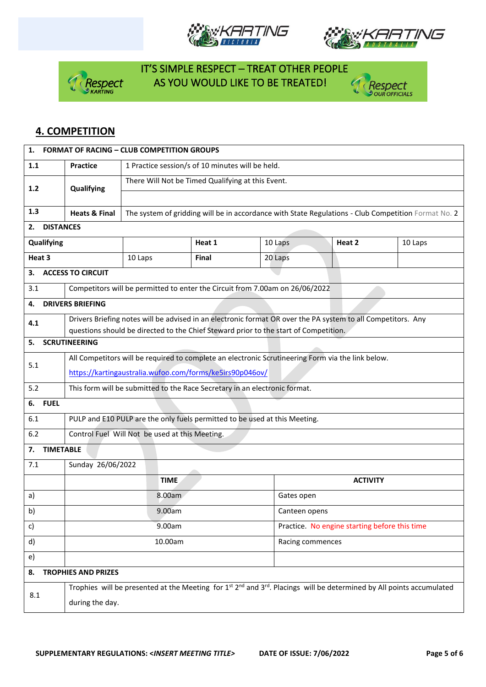







### **4. COMPETITION**

| 1.<br><b>FORMAT OF RACING - CLUB COMPETITION GROUPS</b> |                                                                                                   |                                                                                                     |        |                                                                                                              |                  |                                                                                                                                    |  |  |  |
|---------------------------------------------------------|---------------------------------------------------------------------------------------------------|-----------------------------------------------------------------------------------------------------|--------|--------------------------------------------------------------------------------------------------------------|------------------|------------------------------------------------------------------------------------------------------------------------------------|--|--|--|
| 1.1                                                     | <b>Practice</b>                                                                                   | 1 Practice session/s of 10 minutes will be held.                                                    |        |                                                                                                              |                  |                                                                                                                                    |  |  |  |
| 1.2                                                     | Qualifying                                                                                        | There Will Not be Timed Qualifying at this Event.                                                   |        |                                                                                                              |                  |                                                                                                                                    |  |  |  |
|                                                         |                                                                                                   |                                                                                                     |        |                                                                                                              |                  |                                                                                                                                    |  |  |  |
| 1.3                                                     | <b>Heats &amp; Final</b>                                                                          | The system of gridding will be in accordance with State Regulations - Club Competition Format No. 2 |        |                                                                                                              |                  |                                                                                                                                    |  |  |  |
| <b>DISTANCES</b><br>2.                                  |                                                                                                   |                                                                                                     |        |                                                                                                              |                  |                                                                                                                                    |  |  |  |
| Qualifying                                              |                                                                                                   |                                                                                                     | Heat 1 | 10 Laps                                                                                                      | Heat 2           | 10 Laps                                                                                                                            |  |  |  |
| Heat 3                                                  |                                                                                                   | 10 Laps                                                                                             | Final  | 20 Laps                                                                                                      |                  |                                                                                                                                    |  |  |  |
| 3.                                                      | <b>ACCESS TO CIRCUIT</b>                                                                          |                                                                                                     |        |                                                                                                              |                  |                                                                                                                                    |  |  |  |
| 3.1                                                     |                                                                                                   |                                                                                                     |        | Competitors will be permitted to enter the Circuit from 7.00am on 26/06/2022                                 |                  |                                                                                                                                    |  |  |  |
| 4.                                                      | <b>DRIVERS BRIEFING</b>                                                                           |                                                                                                     |        |                                                                                                              |                  |                                                                                                                                    |  |  |  |
| 4.1                                                     |                                                                                                   |                                                                                                     |        | Drivers Briefing notes will be advised in an electronic format OR over the PA system to all Competitors. Any |                  |                                                                                                                                    |  |  |  |
| 5.                                                      | <b>SCRUTINEERING</b>                                                                              |                                                                                                     |        | questions should be directed to the Chief Steward prior to the start of Competition.                         |                  |                                                                                                                                    |  |  |  |
|                                                         |                                                                                                   |                                                                                                     |        |                                                                                                              |                  |                                                                                                                                    |  |  |  |
| 5.1                                                     | All Competitors will be required to complete an electronic Scrutineering Form via the link below. |                                                                                                     |        |                                                                                                              |                  |                                                                                                                                    |  |  |  |
|                                                         | https://kartingaustralia.wufoo.com/forms/ke5irs90p046ov/                                          |                                                                                                     |        |                                                                                                              |                  |                                                                                                                                    |  |  |  |
| 5.2                                                     | This form will be submitted to the Race Secretary in an electronic format.                        |                                                                                                     |        |                                                                                                              |                  |                                                                                                                                    |  |  |  |
|                                                         | <b>FUEL</b><br>6.                                                                                 |                                                                                                     |        |                                                                                                              |                  |                                                                                                                                    |  |  |  |
| 6.1                                                     | PULP and E10 PULP are the only fuels permitted to be used at this Meeting.                        |                                                                                                     |        |                                                                                                              |                  |                                                                                                                                    |  |  |  |
| 6.2                                                     | Control Fuel Will Not be used at this Meeting.                                                    |                                                                                                     |        |                                                                                                              |                  |                                                                                                                                    |  |  |  |
|                                                         | <b>TIMETABLE</b><br>7.                                                                            |                                                                                                     |        |                                                                                                              |                  |                                                                                                                                    |  |  |  |
| 7.1                                                     | Sunday 26/06/2022                                                                                 |                                                                                                     |        |                                                                                                              |                  |                                                                                                                                    |  |  |  |
|                                                         |                                                                                                   | <b>TIME</b>                                                                                         |        |                                                                                                              | <b>ACTIVITY</b>  |                                                                                                                                    |  |  |  |
| a)                                                      |                                                                                                   | 8.00am                                                                                              |        |                                                                                                              | Gates open       |                                                                                                                                    |  |  |  |
| b)                                                      |                                                                                                   | 9.00am                                                                                              |        |                                                                                                              | Canteen opens    |                                                                                                                                    |  |  |  |
| c)                                                      | 9.00am<br>Practice. No engine starting before this time                                           |                                                                                                     |        |                                                                                                              |                  |                                                                                                                                    |  |  |  |
| d)                                                      | 10.00am                                                                                           |                                                                                                     |        |                                                                                                              | Racing commences |                                                                                                                                    |  |  |  |
| e)                                                      |                                                                                                   |                                                                                                     |        |                                                                                                              |                  |                                                                                                                                    |  |  |  |
| <b>TROPHIES AND PRIZES</b><br>8.                        |                                                                                                   |                                                                                                     |        |                                                                                                              |                  |                                                                                                                                    |  |  |  |
| 8.1                                                     |                                                                                                   |                                                                                                     |        |                                                                                                              |                  | Trophies will be presented at the Meeting for $1^{st} 2^{nd}$ and $3^{rd}$ . Placings will be determined by All points accumulated |  |  |  |
|                                                         | during the day.                                                                                   |                                                                                                     |        |                                                                                                              |                  |                                                                                                                                    |  |  |  |
|                                                         |                                                                                                   |                                                                                                     |        |                                                                                                              |                  |                                                                                                                                    |  |  |  |